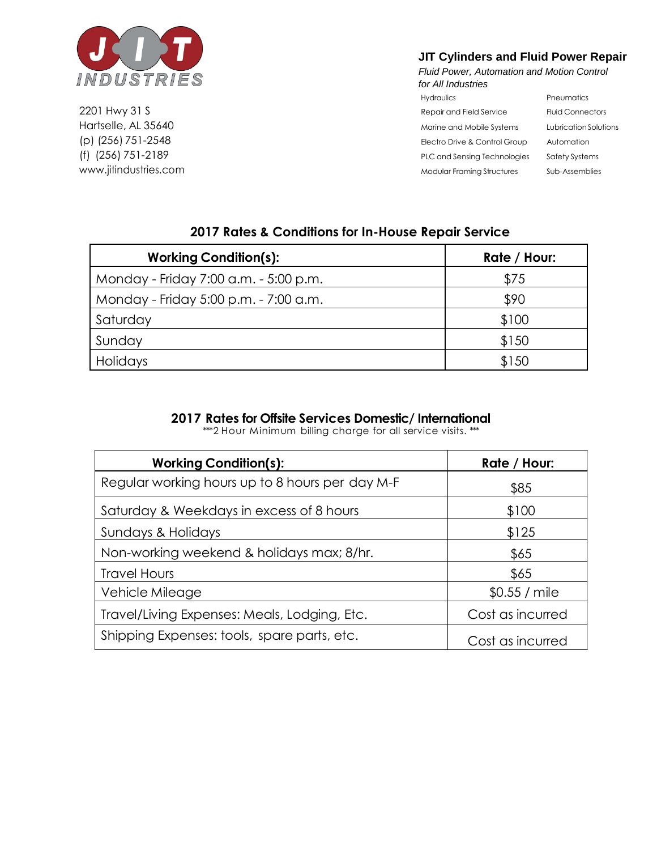

2201 Hwy 31 S Hartselle, AL 35640 (p) (256) 751-2548 (f) (256) 751-2189 [www.jitindustries.com](http://www.jitindustries.com/)

## **JIT Cylinders and Fluid Power Repair**

*Fluid Power, Automation and Motion Control for All Industries*

| <i>tor all industries</i>         |                         |
|-----------------------------------|-------------------------|
| Hydraulics                        | Pneumatics              |
| Repair and Field Service          | <b>Fluid Connectors</b> |
| Marine and Mobile Systems         | Lubrication Solutions   |
| Electro Drive & Control Group     | Automation              |
| PLC and Sensing Technologies      | Safety Systems          |
| <b>Modular Framing Structures</b> | Sub-Assemblies          |

| <b>Working Condition(s):</b>          | Rate / Hour: |
|---------------------------------------|--------------|
| Monday - Friday 7:00 a.m. - 5:00 p.m. | \$75         |
| Monday - Friday 5:00 p.m. - 7:00 a.m. | \$90         |
| Saturday                              | \$100        |
| Sunday                                | \$150        |
| <b>Holidays</b>                       | \$150        |

## **2017 Rates & Conditions for In-House Repair Service**

## **2017 Rates for Offsite Services Domestic/ International**

\*\*\*2 Hour Minimum billing charge for all service visits. \*\*\*

| <b>Working Condition(s):</b>                    | Rate / Hour:     |
|-------------------------------------------------|------------------|
| Regular working hours up to 8 hours per day M-F | \$85             |
| Saturday & Weekdays in excess of 8 hours        | \$100            |
| Sundays & Holidays                              | \$125            |
| Non-working weekend & holidays max; 8/hr.       | \$65             |
| <b>Travel Hours</b>                             | \$65             |
| Vehicle Mileage                                 | $$0.55 /$ mile   |
| Travel/Living Expenses: Meals, Lodging, Etc.    | Cost as incurred |
| Shipping Expenses: tools, spare parts, etc.     | Cost as incurred |